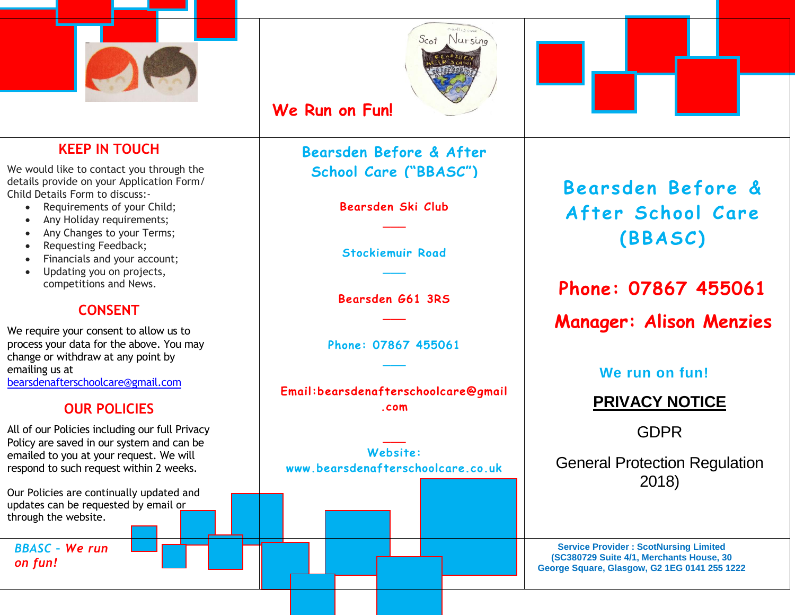



# **We Run on Fun!**

### **KEEP IN TOUCH**

We would like to contact you through the details provide on your Application Form/ Child Details Form to discuss:-

- Requirements of your Child;
- Any Holiday requirements;
- Any Changes to your Terms;
- Requesting Feedback;
- Financials and your account;
- Updating you on projects, competitions and News.

### **CONSENT**

We require your consent to allow us to process your data for the above. You may change or withdraw at any point by emailing us at [bearsdenafterschoolcare@gmail.com](mailto:bearsdenafterschoolcare@gmail.com)

### **OUR POLICIES**

All of our Policies including our full Privacy Policy are saved in our system and can be emailed to you at your request. We will respond to such request within 2 weeks.

Our Policies are continually updated and updates can be requested by email or through the website.

*BBASC – We run on fun!*

**Bearsden Before & After School Care ("BBASC")**

> **Bearsden Ski Club \_\_\_**

**Stockiemuir Road \_\_\_**

**Bearsden G61 3RS \_\_\_**

**Phone: 07867 455061 \_\_\_**

**Email:bearsdenafterschoolcare@gmail .com**

**Website: www.bearsdenafterschoolcare.co.uk**

**\_\_\_**

**Bearsden Before &** After School Care **(BBASC )**

**Phone: 07867 455061**

**Manager: Alison Menzies**

**We run on fun!**

# **PRIVACY NOTICE**

GDPR

General Protection Regulation 2018)

**Service Provider : ScotNursing Limited (SC380729 Suite 4/1, Merchants House, 30 George Square, Glasgow, G2 1EG 0141 255 1222**